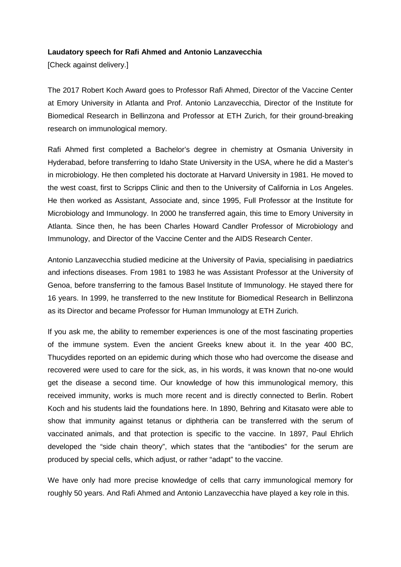## **Laudatory speech for Rafi Ahmed and Antonio Lanzavecchia**

[Check against delivery.]

The 2017 Robert Koch Award goes to Professor Rafi Ahmed, Director of the Vaccine Center at Emory University in Atlanta and Prof. Antonio Lanzavecchia, Director of the Institute for Biomedical Research in Bellinzona and Professor at ETH Zurich, for their ground-breaking research on immunological memory.

Rafi Ahmed first completed a Bachelor's degree in chemistry at Osmania University in Hyderabad, before transferring to Idaho State University in the USA, where he did a Master's in microbiology. He then completed his doctorate at Harvard University in 1981. He moved to the west coast, first to Scripps Clinic and then to the University of California in Los Angeles. He then worked as Assistant, Associate and, since 1995, Full Professor at the Institute for Microbiology and Immunology. In 2000 he transferred again, this time to Emory University in Atlanta. Since then, he has been Charles Howard Candler Professor of Microbiology and Immunology, and Director of the Vaccine Center and the AIDS Research Center.

Antonio Lanzavecchia studied medicine at the University of Pavia, specialising in paediatrics and infections diseases. From 1981 to 1983 he was Assistant Professor at the University of Genoa, before transferring to the famous Basel Institute of Immunology. He stayed there for 16 years. In 1999, he transferred to the new Institute for Biomedical Research in Bellinzona as its Director and became Professor for Human Immunology at ETH Zurich.

If you ask me, the ability to remember experiences is one of the most fascinating properties of the immune system. Even the ancient Greeks knew about it. In the year 400 BC, Thucydides reported on an epidemic during which those who had overcome the disease and recovered were used to care for the sick, as, in his words, it was known that no-one would get the disease a second time. Our knowledge of how this immunological memory, this received immunity, works is much more recent and is directly connected to Berlin. Robert Koch and his students laid the foundations here. In 1890, Behring and Kitasato were able to show that immunity against tetanus or diphtheria can be transferred with the serum of vaccinated animals, and that protection is specific to the vaccine. In 1897, Paul Ehrlich developed the "side chain theory", which states that the "antibodies" for the serum are produced by special cells, which adjust, or rather "adapt" to the vaccine.

We have only had more precise knowledge of cells that carry immunological memory for roughly 50 years. And Rafi Ahmed and Antonio Lanzavecchia have played a key role in this.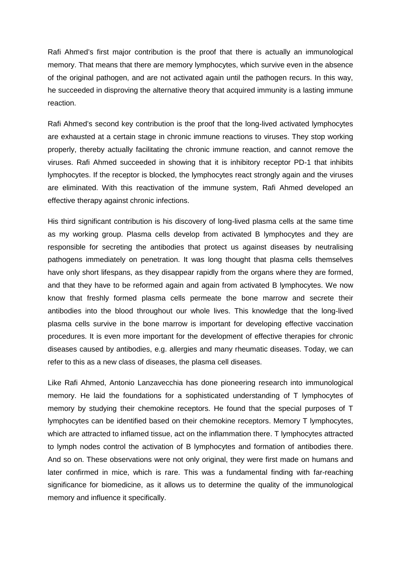Rafi Ahmed's first major contribution is the proof that there is actually an immunological memory. That means that there are memory lymphocytes, which survive even in the absence of the original pathogen, and are not activated again until the pathogen recurs. In this way, he succeeded in disproving the alternative theory that acquired immunity is a lasting immune reaction.

Rafi Ahmed's second key contribution is the proof that the long-lived activated lymphocytes are exhausted at a certain stage in chronic immune reactions to viruses. They stop working properly, thereby actually facilitating the chronic immune reaction, and cannot remove the viruses. Rafi Ahmed succeeded in showing that it is inhibitory receptor PD-1 that inhibits lymphocytes. If the receptor is blocked, the lymphocytes react strongly again and the viruses are eliminated. With this reactivation of the immune system, Rafi Ahmed developed an effective therapy against chronic infections.

His third significant contribution is his discovery of long-lived plasma cells at the same time as my working group. Plasma cells develop from activated B lymphocytes and they are responsible for secreting the antibodies that protect us against diseases by neutralising pathogens immediately on penetration. It was long thought that plasma cells themselves have only short lifespans, as they disappear rapidly from the organs where they are formed, and that they have to be reformed again and again from activated B lymphocytes. We now know that freshly formed plasma cells permeate the bone marrow and secrete their antibodies into the blood throughout our whole lives. This knowledge that the long-lived plasma cells survive in the bone marrow is important for developing effective vaccination procedures. It is even more important for the development of effective therapies for chronic diseases caused by antibodies, e.g. allergies and many rheumatic diseases. Today, we can refer to this as a new class of diseases, the plasma cell diseases.

Like Rafi Ahmed, Antonio Lanzavecchia has done pioneering research into immunological memory. He laid the foundations for a sophisticated understanding of T lymphocytes of memory by studying their chemokine receptors. He found that the special purposes of T lymphocytes can be identified based on their chemokine receptors. Memory T lymphocytes, which are attracted to inflamed tissue, act on the inflammation there. T lymphocytes attracted to lymph nodes control the activation of B lymphocytes and formation of antibodies there. And so on. These observations were not only original, they were first made on humans and later confirmed in mice, which is rare. This was a fundamental finding with far-reaching significance for biomedicine, as it allows us to determine the quality of the immunological memory and influence it specifically.